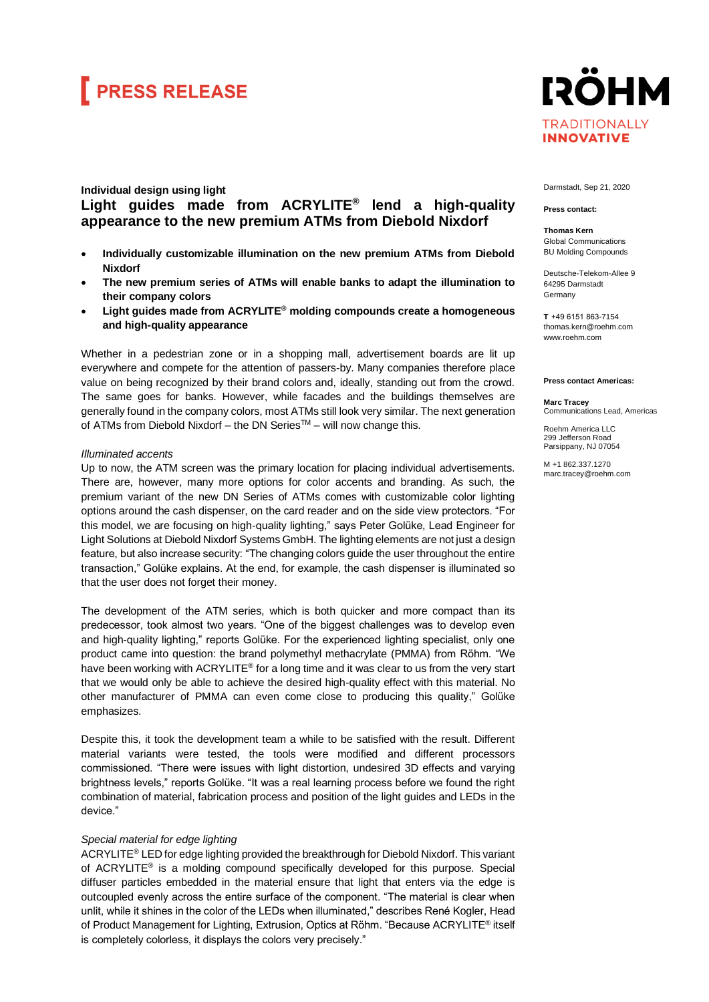## **FRESS RELEASE**

## **Individual design using light Light guides made from ACRYLITE® lend a high-quality appearance to the new premium ATMs from Diebold Nixdorf**

- **Individually customizable illumination on the new premium ATMs from Diebold Nixdorf**
- **The new premium series of ATMs will enable banks to adapt the illumination to their company colors**
- **Light guides made from ACRYLITE® molding compounds create a homogeneous and high-quality appearance**

Whether in a pedestrian zone or in a shopping mall, advertisement boards are lit up everywhere and compete for the attention of passers-by. Many companies therefore place value on being recognized by their brand colors and, ideally, standing out from the crowd. The same goes for banks. However, while facades and the buildings themselves are generally found in the company colors, most ATMs still look very similar. The next generation of ATMs from Diebold Nixdorf – the DN Series™ – will now change this.

### *Illuminated accents*

Up to now, the ATM screen was the primary location for placing individual advertisements. There are, however, many more options for color accents and branding. As such, the premium variant of the new DN Series of ATMs comes with customizable color lighting options around the cash dispenser, on the card reader and on the side view protectors. "For this model, we are focusing on high-quality lighting," says Peter Golüke, Lead Engineer for Light Solutions at Diebold Nixdorf Systems GmbH. The lighting elements are not just a design feature, but also increase security: "The changing colors guide the user throughout the entire transaction," Golüke explains. At the end, for example, the cash dispenser is illuminated so that the user does not forget their money.

The development of the ATM series, which is both quicker and more compact than its predecessor, took almost two years. "One of the biggest challenges was to develop even and high-quality lighting," reports Golüke. For the experienced lighting specialist, only one product came into question: the brand polymethyl methacrylate (PMMA) from Röhm. "We have been working with ACRYLITE® for a long time and it was clear to us from the very start that we would only be able to achieve the desired high-quality effect with this material. No other manufacturer of PMMA can even come close to producing this quality," Golüke emphasizes.

Despite this, it took the development team a while to be satisfied with the result. Different material variants were tested, the tools were modified and different processors commissioned. "There were issues with light distortion, undesired 3D effects and varying brightness levels," reports Golüke. "It was a real learning process before we found the right combination of material, fabrication process and position of the light guides and LEDs in the device."

### *Special material for edge lighting*

ACRYLITE® LED for edge lighting provided the breakthrough for Diebold Nixdorf. This variant of ACRYLITE® is a molding compound specifically developed for this purpose. Special diffuser particles embedded in the material ensure that light that enters via the edge is outcoupled evenly across the entire surface of the component. "The material is clear when unlit, while it shines in the color of the LEDs when illuminated," describes René Kogler, Head of Product Management for Lighting, Extrusion, Optics at Röhm. "Because ACRYLITE® itself is completely colorless, it displays the colors very precisely."

**IRÖHM TRADITIONALLY INNOVATIVE** 

Darmstadt, Sep 21, 2020

#### **Press contact:**

**Thomas Kern** Global Communications BU Molding Compounds

Deutsche-Telekom-Allee 9 64295 Darmstadt Germany

**T**  +49 6151 863-7154 thomas.kern@roehm.com [www.roehm.com](http://www.roehm.com/)

#### **Press contact Americas:**

**Marc Tracey** Communications Lead, Americas

Roehm America LLC 299 Jefferson Road Parsippany, NJ 07054

M +1 862.337.1270 marc.tracey@roehm.com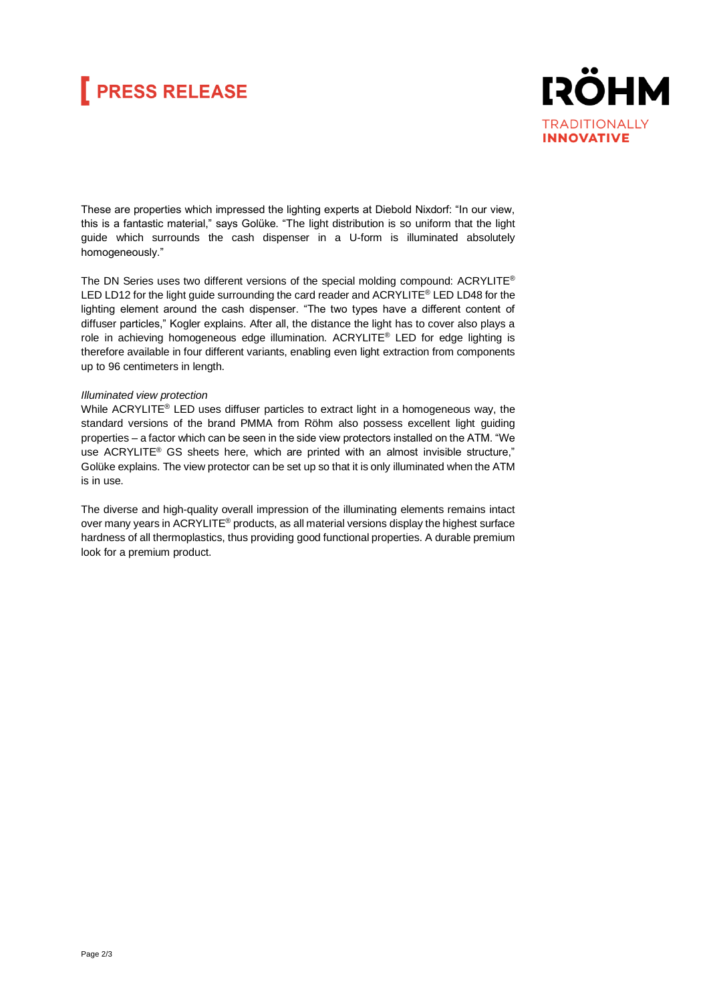## **FRESS RELEASE**



These are properties which impressed the lighting experts at Diebold Nixdorf: "In our view, this is a fantastic material," says Golüke. "The light distribution is so uniform that the light guide which surrounds the cash dispenser in a U-form is illuminated absolutely homogeneously."

The DN Series uses two different versions of the special molding compound: ACRYLITE® LED LD12 for the light guide surrounding the card reader and ACRYLITE® LED LD48 for the lighting element around the cash dispenser. "The two types have a different content of diffuser particles," Kogler explains. After all, the distance the light has to cover also plays a role in achieving homogeneous edge illumination. ACRYLITE® LED for edge lighting is therefore available in four different variants, enabling even light extraction from components up to 96 centimeters in length.

### *Illuminated view protection*

While ACRYLITE<sup>®</sup> LED uses diffuser particles to extract light in a homogeneous way, the standard versions of the brand PMMA from Röhm also possess excellent light guiding properties – a factor which can be seen in the side view protectors installed on the ATM. "We use ACRYLITE® GS sheets here, which are printed with an almost invisible structure," Golüke explains. The view protector can be set up so that it is only illuminated when the ATM is in use.

The diverse and high-quality overall impression of the illuminating elements remains intact over many years in ACRYLITE® products, as all material versions display the highest surface hardness of all thermoplastics, thus providing good functional properties. A durable premium look for a premium product.